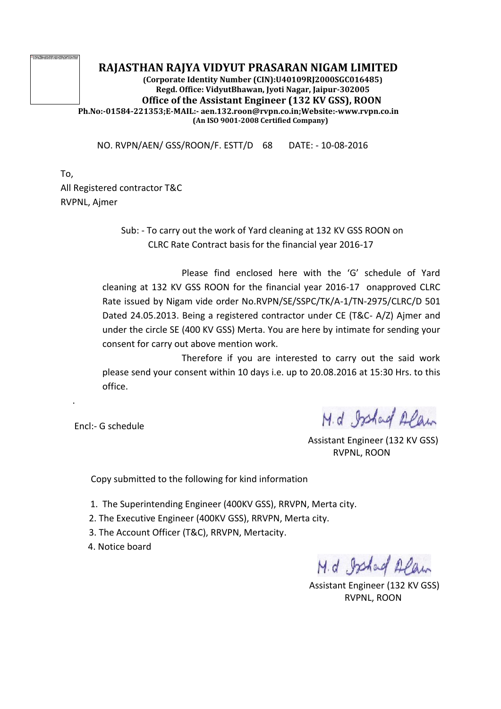## **RAJASTHAN RAJYA VIDYUT PRASARAN NIGAM LIMITED**

**(Corporate Identity Number (CIN):U40109RJ2000SGC016485) Regd. Office: VidyutBhawan, Jyoti Nagar, Jaipur-302005 Office of the Assistant Engineer (132 KV GSS), ROON Ph.No:-01584-221353;E-MAIL:- aen.132.roon@rvpn.co.in;Website:-www.rvpn.co.in (An ISO 9001-2008 Certified Company)**

NO. RVPN/AEN/ GSS/ROON/F. ESTT/D 68 DATE: - 10-08-2016

To, All Registered contractor T&C RVPNL, Ajmer

> Sub: - To carry out the work of Yard cleaning at 132 KV GSS ROON on CLRC Rate Contract basis for the financial year 2016-17

Please find enclosed here with the 'G' schedule of Yard cleaning at 132 KV GSS ROON for the financial year 2016-17 onapproved CLRC Rate issued by Nigam vide order No.RVPN/SE/SSPC/TK/A-1/TN-2975/CLRC/D 501 Dated 24.05.2013. Being a registered contractor under CE (T&C- A/Z) Ajmer and under the circle SE (400 KV GSS) Merta. You are here by intimate for sending your consent for carry out above mention work.

Therefore if you are interested to carry out the said work please send your consent within 10 days i.e. up to 20.08.2016 at 15:30 Hrs. to this office.

Encl:- G schedule

.

M.d. Ishad Alan

 Assistant Engineer (132 KV GSS) RVPNL, ROON

Copy submitted to the following for kind information

- 1. The Superintending Engineer (400KV GSS), RRVPN, Merta city.
- 2. The Executive Engineer (400KV GSS), RRVPN, Merta city.
- 3. The Account Officer (T&C), RRVPN, Mertacity.
- 4. Notice board

M.d. Ishad Alan

 Assistant Engineer (132 KV GSS) RVPNL, ROON